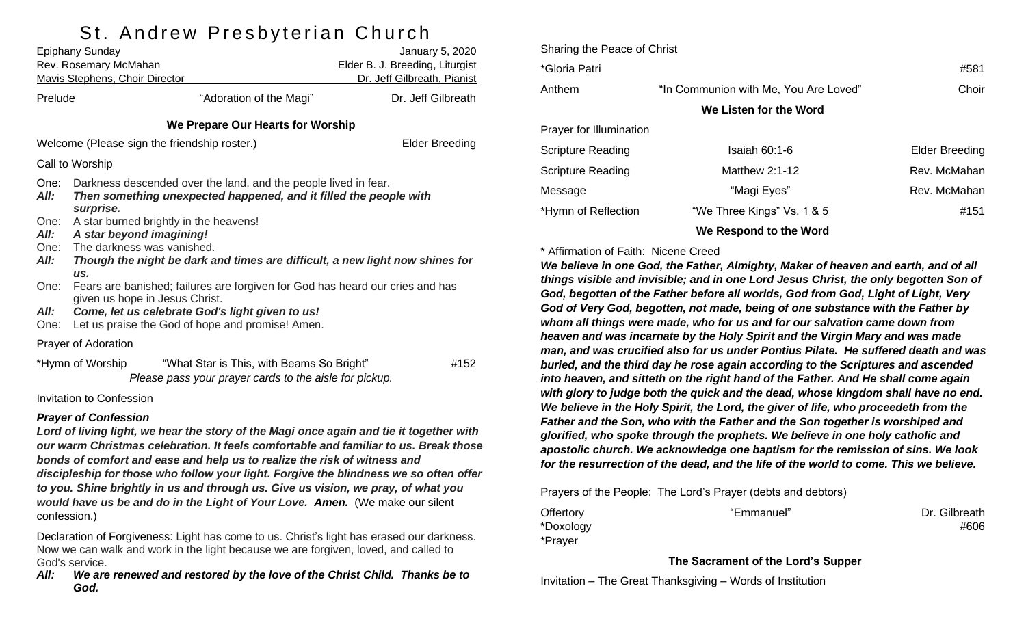# St Andrew Preshyterian Church

|                                   | Epiphany Sunday<br>Rev. Rosemary McMahan<br><b>Mavis Stephens, Choir Director</b>                                                                                                                                      | January 5, 2020<br>Elder B. J. Breeding, Liturgist<br>Dr. Jeff Gilbreath, Pianist                   |                    |  |  |  |  |
|-----------------------------------|------------------------------------------------------------------------------------------------------------------------------------------------------------------------------------------------------------------------|-----------------------------------------------------------------------------------------------------|--------------------|--|--|--|--|
| Prelude                           |                                                                                                                                                                                                                        | "Adoration of the Magi"                                                                             | Dr. Jeff Gilbreath |  |  |  |  |
| We Prepare Our Hearts for Worship |                                                                                                                                                                                                                        |                                                                                                     |                    |  |  |  |  |
|                                   | Welcome (Please sign the friendship roster.)                                                                                                                                                                           | <b>Elder Breeding</b>                                                                               |                    |  |  |  |  |
|                                   | Call to Worship                                                                                                                                                                                                        |                                                                                                     |                    |  |  |  |  |
| One:<br>All:                      | Darkness descended over the land, and the people lived in fear.<br>Then something unexpected happened, and it filled the people with<br>surprise.                                                                      |                                                                                                     |                    |  |  |  |  |
| One:<br>All:<br>One:<br>All:      | A star burned brightly in the heavens!<br>A star beyond imagining!<br>The darkness was vanished.<br>Though the night be dark and times are difficult, a new light now shines for<br>US.                                |                                                                                                     |                    |  |  |  |  |
| One:<br>All:<br>One:              | Fears are banished; failures are forgiven for God has heard our cries and has<br>given us hope in Jesus Christ.<br>Come, let us celebrate God's light given to us!<br>Let us praise the God of hope and promise! Amen. |                                                                                                     |                    |  |  |  |  |
|                                   | <b>Prayer of Adoration</b>                                                                                                                                                                                             |                                                                                                     |                    |  |  |  |  |
|                                   | *Hymn of Worship                                                                                                                                                                                                       | "What Star is This, with Beams So Bright"<br>Please pass your prayer cards to the aisle for pickup. | #152               |  |  |  |  |
|                                   | <b>Invitation to Confession</b>                                                                                                                                                                                        |                                                                                                     |                    |  |  |  |  |
|                                   | <b>Prayer of Confession</b>                                                                                                                                                                                            | Lord of living light, we hear the story of the Magi once again and tie it together with             |                    |  |  |  |  |

*our warm Christmas celebration. It feels comfortable and familiar to us. Break those bonds of comfort and ease and help us to realize the risk of witness and discipleship for those who follow your light. Forgive the blindness we so often offer to you. Shine brightly in us and through us. Give us vision, we pray, of what you would have us be and do in the Light of Your Love. Amen.* (We make our silent confession.)

Declaration of Forgiveness: Light has come to us. Christ's light has erased our darkness. Now we can walk and work in the light because we are forgiven, loved, and called to God's service.

*All: We are renewed and restored by the love of the Christ Child. Thanks be to God.*

| Sharing the Peace of Christ |                                       |                |  |  |  |  |
|-----------------------------|---------------------------------------|----------------|--|--|--|--|
| *Gloria Patri               | #581                                  |                |  |  |  |  |
| Anthem                      | "In Communion with Me, You Are Loved" | Choir          |  |  |  |  |
| We Listen for the Word      |                                       |                |  |  |  |  |
| Prayer for Illumination     |                                       |                |  |  |  |  |
| <b>Scripture Reading</b>    | Isaiah 60:1-6                         | Elder Breeding |  |  |  |  |
| <b>Scripture Reading</b>    | Matthew $2:1-12$                      | Rev. McMahan   |  |  |  |  |
| Message                     | "Magi Eyes"                           | Rev. McMahan   |  |  |  |  |
| *Hymn of Reflection         | "We Three Kings" Vs. 1 & 5            | #151           |  |  |  |  |
|                             |                                       |                |  |  |  |  |

**We Respond to the Word**

#### \* Affirmation of Faith: Nicene Creed

*We believe in one God, the Father, Almighty, Maker of heaven and earth, and of all things visible and invisible; and in one Lord Jesus Christ, the only begotten Son of God, begotten of the Father before all worlds, God from God, Light of Light, Very God of Very God, begotten, not made, being of one substance with the Father by whom all things were made, who for us and for our salvation came down from heaven and was incarnate by the Holy Spirit and the Virgin Mary and was made man, and was crucified also for us under Pontius Pilate. He suffered death and was buried, and the third day he rose again according to the Scriptures and ascended into heaven, and sitteth on the right hand of the Father. And He shall come again with glory to judge both the quick and the dead, whose kingdom shall have no end. We believe in the Holy Spirit, the Lord, the giver of life, who proceedeth from the Father and the Son, who with the Father and the Son together is worshiped and glorified, who spoke through the prophets. We believe in one holy catholic and apostolic church. We acknowledge one baptism for the remission of sins. We look for the resurrection of the dead, and the life of the world to come. This we believe.*

Prayers of the People: The Lord's Prayer (debts and debtors)

\*Doxology #606 \*Prayer

Offertory **Example 2018** "Emmanuel" **Dr. Gilbreath** Dr. Gilbreath

#### **The Sacrament of the Lord's Supper**

Invitation – The Great Thanksgiving – Words of Institution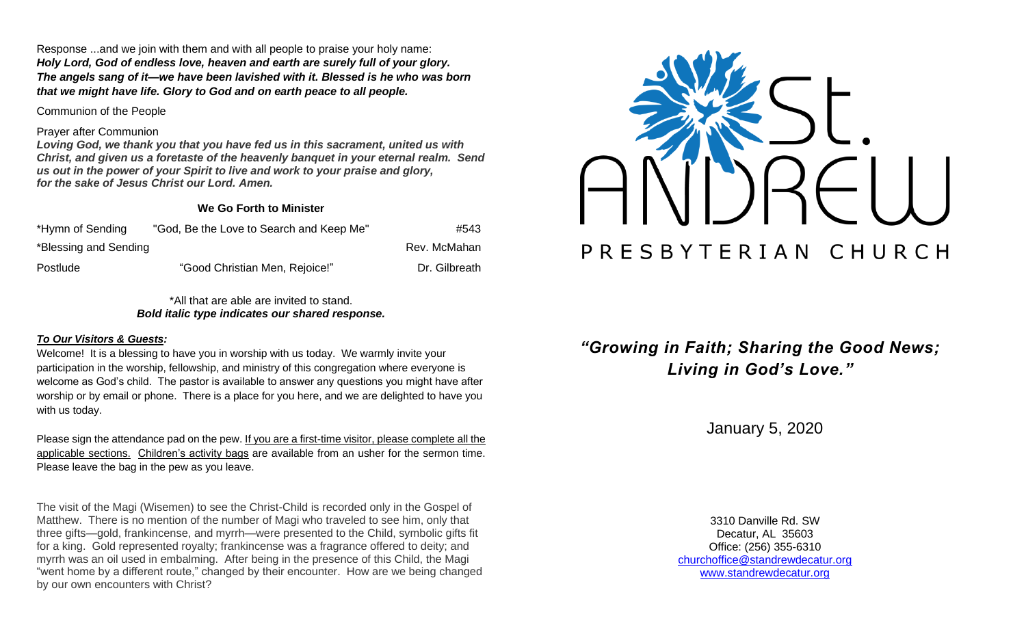Response ...and we join with them and with all people to praise your holy name: *Holy Lord, God of endless love, heaven and earth are surely full of your glory. The angels sang of it—we have been lavished with it. Blessed is he who was born that we might have life. Glory to God and on earth peace to all people.*

Communion of the People

#### Prayer after Communion

*Loving God, we thank you that you have fed us in this sacrament, united us with Christ, and given us a foretaste of the heavenly banquet in your eternal realm. Send us out in the power of your Spirit to live and work to your praise and glory, for the sake of Jesus Christ our Lord. Amen.*

### **We Go Forth to Minister**

| *Hymn of Sending      | "God, Be the Love to Search and Keep Me" | #543          |
|-----------------------|------------------------------------------|---------------|
| *Blessing and Sending |                                          | Rev. McMahan  |
| Postlude              | "Good Christian Men, Rejoice!"           | Dr. Gilbreath |



\*All that are able are invited to stand. *Bold italic type indicates our shared response.*

#### *To Our Visitors & Guests:*

Welcome! It is a blessing to have you in worship with us today. We warmly invite your participation in the worship, fellowship, and ministry of this congregation where everyone is welcome as God's child. The pastor is available to answer any questions you might have after worship or by email or phone. There is a place for you here, and we are delighted to have you with us today.

Please sign the attendance pad on the pew. If you are a first-time visitor, please complete all the applicable sections. Children's activity bags are available from an usher for the sermon time. Please leave the bag in the pew as you leave.

The visit of the Magi (Wisemen) to see the Christ-Child is recorded only in the Gospel of Matthew. There is no mention of the number of Magi who traveled to see him, only that three gifts—gold, frankincense, and myrrh—were presented to the Child, symbolic gifts fit for a king. Gold represented royalty; frankincense was a fragrance offered to deity; and myrrh was an oil used in embalming. After being in the presence of this Child, the Magi "went home by a different route," changed by their encounter. How are we being changed by our own encounters with Christ?

*"Growing in Faith; Sharing the Good News; Living in God's Love."*

January 5, 2020

3310 Danville Rd. SW Decatur, AL 35603 Office: (256) 355-6310 [churchoffice@standrewdecatur.org](mailto:churchoffice@standrewdecatur.org) [www.standrewdecatur.org](http://www.standrewdecatur.org/)